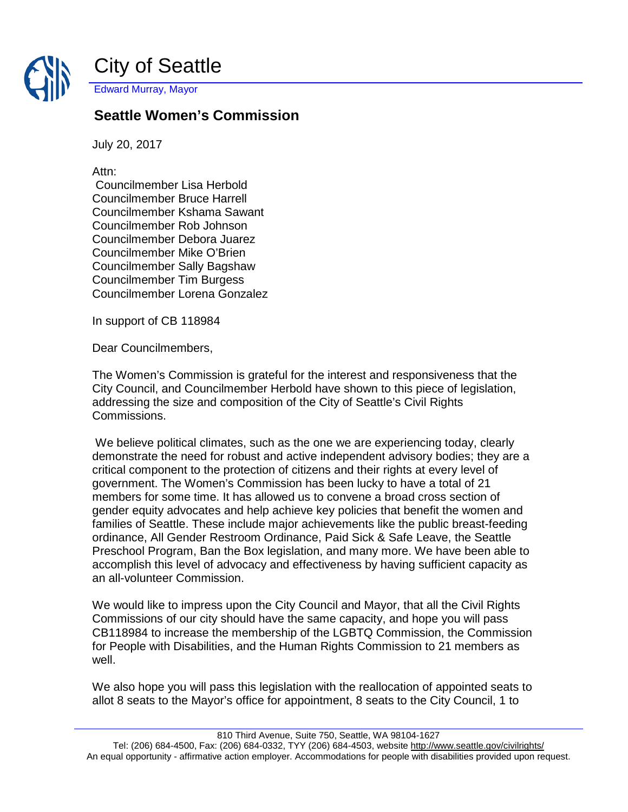

City of Seattle Edward Murray, Mayor

## **Seattle Women's Commission**

July 20, 2017

Attn:

Councilmember Lisa Herbold Councilmember Bruce Harrell Councilmember Kshama Sawant Councilmember Rob Johnson Councilmember Debora Juarez Councilmember Mike O'Brien Councilmember Sally Bagshaw Councilmember Tim Burgess Councilmember Lorena Gonzalez

In support of CB 118984

Dear Councilmembers,

The Women's Commission is grateful for the interest and responsiveness that the City Council, and Councilmember Herbold have shown to this piece of legislation, addressing the size and composition of the City of Seattle's Civil Rights Commissions.

We believe political climates, such as the one we are experiencing today, clearly demonstrate the need for robust and active independent advisory bodies; they are a critical component to the protection of citizens and their rights at every level of government. The Women's Commission has been lucky to have a total of 21 members for some time. It has allowed us to convene a broad cross section of gender equity advocates and help achieve key policies that benefit the women and families of Seattle. These include major achievements like the public breast-feeding ordinance, All Gender Restroom Ordinance, Paid Sick & Safe Leave, the Seattle Preschool Program, Ban the Box legislation, and many more. We have been able to accomplish this level of advocacy and effectiveness by having sufficient capacity as an all-volunteer Commission.

We would like to impress upon the City Council and Mayor, that all the Civil Rights Commissions of our city should have the same capacity, and hope you will pass CB118984 to increase the membership of the LGBTQ Commission, the Commission for People with Disabilities, and the Human Rights Commission to 21 members as well.

We also hope you will pass this legislation with the reallocation of appointed seats to allot 8 seats to the Mayor's office for appointment, 8 seats to the City Council, 1 to

810 Third Avenue, Suite 750, Seattle, WA 98104-1627

Tel: (206) 684-4500, Fax: (206) 684-0332, TYY (206) 684-4503, websit[e http://www.seattle.gov/civilrights/](http://www.seattle.gov/civilrights/) An equal opportunity - affirmative action employer. Accommodations for people with disabilities provided upon request.